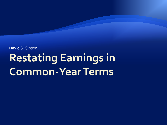#### David S. Gibson**Restating Earnings in Common-Year Terms**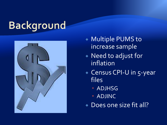## **Background**



- Multiple PUMS to increase sample
- **Need to adjust for** inflation
- ◆ Census CPI-U in 5-year files
	- ADJHSG
	- ADJINC
- ◆ Does one size fit all?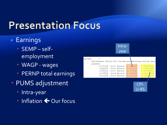## **Presentation Focus**

- **Earnings** 
	- SEMP selfemployment
	- WAGP wages
	- PERNP total earnings
- PUMS adjustment
	- Intra-year
	- ◆ Inflation ← Our focus

| Intra-<br>year                                        |  |
|-------------------------------------------------------|--|
| ADJINC                                                |  |
| Adjustment factor for income and earnings dollar amou |  |
| places)                                               |  |
| 1073094.2011 factor (1.018237 * 1.05387409)           |  |
| 1042852.0012 factor (1.010207 * 1.03231545)           |  |
| 1025215.007549 * 1.01753361)                          |  |
| 1009585.2014 factor (1.008425 * 1.00115009)           |  |
| 1001264.2015 factor (1.001264 * 1.0000)               |  |

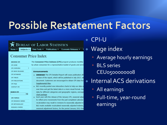#### **Possible Restatement Factors**

#### BUREAU OF LABOR STATISTICS

Subjects  $\blacktriangledown$ Home  $\blacktriangledown$ 

Data Tools ▼ Publications ▼ Economic Releases ▼

#### **Consumer Price Index**

| <b>BROWSE CPI</b>       | The Consun   |                                |  |
|-------------------------|--------------|--------------------------------|--|
| CPI HOME                | by urban con |                                |  |
| ь<br>CPI OVERVIEW       |              |                                |  |
| CPI NEWS RELEASES       |              | <b>Announc</b>                 |  |
| <b>CPI DATABASES</b>    | $\mathbf{y}$ | <b>IMPORT</b>                  |  |
| <b>CPI TABLES</b>       |              | version                        |  |
| <b>CPI PUBLICATIONS</b> |              | docum                          |  |
| CPI FAQS                |              | <b>Supple</b>                  |  |
| CONTACT CPI             | $33 -$       | <b>BLS</b> red                 |  |
| <b>SEARCH CPI</b><br>Go |              | over tir<br>data fo<br>chart p |  |
| <b>CPI TOPICS</b>       | $\mathbf{m}$ | Each y                         |  |
| CPI RESEARCH SERIES     |              | to refle                       |  |
| CPI METHODOLOGY         |              | recalcu                        |  |
| <b>RESEARCH PAPERS</b>  |              | <b>BLS</b> ma                  |  |
|                         |              | copcon                         |  |

ner Price Indexes (CPI) program produces monthly sumers for a representative basket of goods and servi-

#### ements

- TANT The CPI Detailed Report will cease publication aft of the report, which will be published in July 2017, wi ent. Customers are encouraged to obtain CPI data fror mental Files.
- cently posted new interactive charts to help our data u ne and get the latest data in a more visual format. Ava r different categories and geographic regions, average ackage
- ear with the release of the January CPI, seasonal adjus ct price movements from the just-completed calendar lation may result in revisions to seasonally adjusted in ade available recalculated seasonally adjusted indexes, nal adjustment factors, for the period January 2012 thre

#### CPI-U

#### Wage index

- Average hourly earnings
- BLS series CEU0500000008
- Internal ACS derivations
	- All earnings
	- Full-time, year-round earnings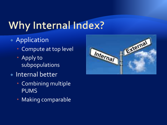## Why Internal Index?

#### ◆ Application

- Compute at top level
- Apply to subpopulations
- Internal better
	- Combining multiple PUMS
	- Making comparable

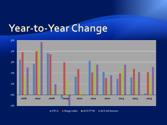## Year-to-Year Change



**CPI-U Wage Index MACS FTYR ACS All Earners**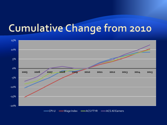### Cumulative Change from 2010

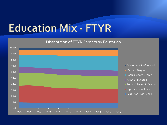## **Education Mix - FTYR**

#### Distribution of FTYR Earners by Education

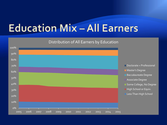### **Education Mix - All Earners**

#### Distribution of All Earners by Education

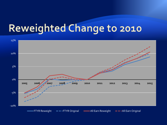#### Reweighted Change to 2010

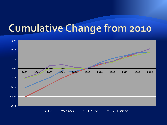### Cumulative Change from 2010

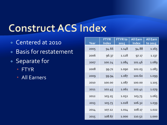### **Construct ACS Index**

- Centered at 2010
- ◆ Basis for restatement
- Separate for
	- FTYR
	- All Earners

| Year | <b>FTYR</b><br><b>Index</b> | <b>FTYR</b> to<br>2015 | <b>All Earn</b><br><b>Index</b> | <b>All Earn</b><br>to 2015 |
|------|-----------------------------|------------------------|---------------------------------|----------------------------|
| 2005 | 94.66                       | 1.148                  | 94.88                           | 1.165                      |
| 2006 | 96.37                       | 1.128                  | 97.17                           | 1.137                      |
| 2007 | 100.24                      | 1.084                  | 101.46                          | 1.089                      |
| 2008 | 99.72                       | 1.090                  | 102.03                          | 1.083                      |
| 2009 | 99.94                       | 1.087                  | 100.60                          | 1.099                      |
| 2010 | 100.00                      | 1.087                  | 100.00                          | 1.105                      |
| 2011 | 102.45                      | 1.061                  | 102.41                          | 1.079                      |
| 2012 | 103.25                      | 1.052                  | 103.73                          | 1.065                      |
| 2013 | 105.73                      | 1.028                  | 106.32                          | 1.039                      |
| 2014 | 107.12                      | 1.014                  | 108.17                          | 1.022                      |
| 2015 | 108.67                      | 1.000                  | 110.52                          | 1.000                      |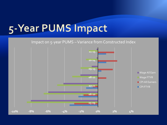#### 5-Year PUMS Impact

#### Impact on 5-year PUMS –Variance from Constructed Index

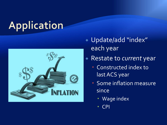# Application



- Update/add "index" each year
- Restate to *current* year
	- Constructed index to last ACS year
	- Some inflation measure since
		- Wage index
		- CPI